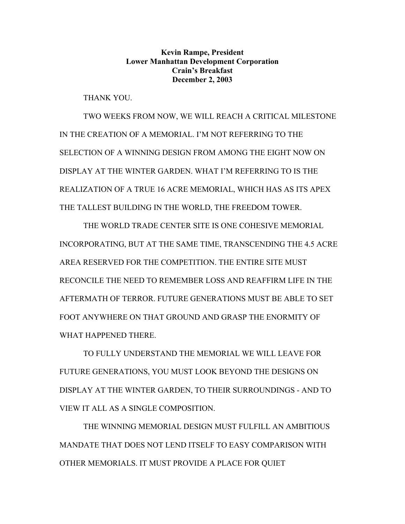**Kevin Rampe, President Lower Manhattan Development Corporation Crain's Breakfast December 2, 2003** 

THANK YOU.

 TWO WEEKS FROM NOW, WE WILL REACH A CRITICAL MILESTONE IN THE CREATION OF A MEMORIAL. I'M NOT REFERRING TO THE SELECTION OF A WINNING DESIGN FROM AMONG THE EIGHT NOW ON DISPLAY AT THE WINTER GARDEN. WHAT I'M REFERRING TO IS THE REALIZATION OF A TRUE 16 ACRE MEMORIAL, WHICH HAS AS ITS APEX THE TALLEST BUILDING IN THE WORLD, THE FREEDOM TOWER.

 THE WORLD TRADE CENTER SITE IS ONE COHESIVE MEMORIAL INCORPORATING, BUT AT THE SAME TIME, TRANSCENDING THE 4.5 ACRE AREA RESERVED FOR THE COMPETITION. THE ENTIRE SITE MUST RECONCILE THE NEED TO REMEMBER LOSS AND REAFFIRM LIFE IN THE AFTERMATH OF TERROR. FUTURE GENERATIONS MUST BE ABLE TO SET FOOT ANYWHERE ON THAT GROUND AND GRASP THE ENORMITY OF WHAT HAPPENED THERE.

TO FULLY UNDERSTAND THE MEMORIAL WE WILL LEAVE FOR FUTURE GENERATIONS, YOU MUST LOOK BEYOND THE DESIGNS ON DISPLAY AT THE WINTER GARDEN, TO THEIR SURROUNDINGS - AND TO VIEW IT ALL AS A SINGLE COMPOSITION.

THE WINNING MEMORIAL DESIGN MUST FULFILL AN AMBITIOUS MANDATE THAT DOES NOT LEND ITSELF TO EASY COMPARISON WITH OTHER MEMORIALS. IT MUST PROVIDE A PLACE FOR QUIET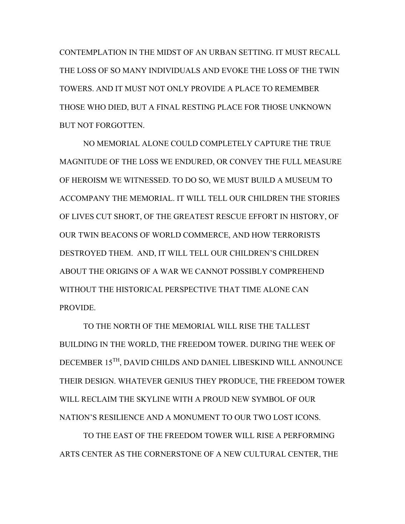CONTEMPLATION IN THE MIDST OF AN URBAN SETTING. IT MUST RECALL THE LOSS OF SO MANY INDIVIDUALS AND EVOKE THE LOSS OF THE TWIN TOWERS. AND IT MUST NOT ONLY PROVIDE A PLACE TO REMEMBER THOSE WHO DIED, BUT A FINAL RESTING PLACE FOR THOSE UNKNOWN BUT NOT FORGOTTEN.

NO MEMORIAL ALONE COULD COMPLETELY CAPTURE THE TRUE MAGNITUDE OF THE LOSS WE ENDURED, OR CONVEY THE FULL MEASURE OF HEROISM WE WITNESSED. TO DO SO, WE MUST BUILD A MUSEUM TO ACCOMPANY THE MEMORIAL. IT WILL TELL OUR CHILDREN THE STORIES OF LIVES CUT SHORT, OF THE GREATEST RESCUE EFFORT IN HISTORY, OF OUR TWIN BEACONS OF WORLD COMMERCE, AND HOW TERRORISTS DESTROYED THEM. AND, IT WILL TELL OUR CHILDREN'S CHILDREN ABOUT THE ORIGINS OF A WAR WE CANNOT POSSIBLY COMPREHEND WITHOUT THE HISTORICAL PERSPECTIVE THAT TIME ALONE CAN PROVIDE.

TO THE NORTH OF THE MEMORIAL WILL RISE THE TALLEST BUILDING IN THE WORLD, THE FREEDOM TOWER. DURING THE WEEK OF DECEMBER 15TH, DAVID CHILDS AND DANIEL LIBESKIND WILL ANNOUNCE THEIR DESIGN. WHATEVER GENIUS THEY PRODUCE, THE FREEDOM TOWER WILL RECLAIM THE SKYLINE WITH A PROUD NEW SYMBOL OF OUR NATION'S RESILIENCE AND A MONUMENT TO OUR TWO LOST ICONS.

TO THE EAST OF THE FREEDOM TOWER WILL RISE A PERFORMING ARTS CENTER AS THE CORNERSTONE OF A NEW CULTURAL CENTER, THE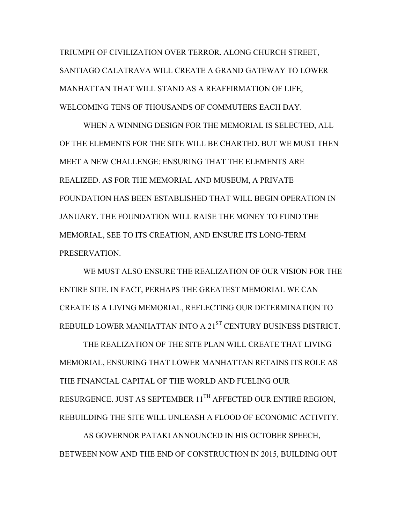TRIUMPH OF CIVILIZATION OVER TERROR. ALONG CHURCH STREET, SANTIAGO CALATRAVA WILL CREATE A GRAND GATEWAY TO LOWER MANHATTAN THAT WILL STAND AS A REAFFIRMATION OF LIFE, WELCOMING TENS OF THOUSANDS OF COMMUTERS EACH DAY.

WHEN A WINNING DESIGN FOR THE MEMORIAL IS SELECTED, ALL OF THE ELEMENTS FOR THE SITE WILL BE CHARTED. BUT WE MUST THEN MEET A NEW CHALLENGE: ENSURING THAT THE ELEMENTS ARE REALIZED. AS FOR THE MEMORIAL AND MUSEUM, A PRIVATE FOUNDATION HAS BEEN ESTABLISHED THAT WILL BEGIN OPERATION IN JANUARY. THE FOUNDATION WILL RAISE THE MONEY TO FUND THE MEMORIAL, SEE TO ITS CREATION, AND ENSURE ITS LONG-TERM PRESERVATION.

WE MUST ALSO ENSURE THE REALIZATION OF OUR VISION FOR THE ENTIRE SITE. IN FACT, PERHAPS THE GREATEST MEMORIAL WE CAN CREATE IS A LIVING MEMORIAL, REFLECTING OUR DETERMINATION TO REBUILD LOWER MANHATTAN INTO A 21<sup>ST</sup> CENTURY BUSINESS DISTRICT.

THE REALIZATION OF THE SITE PLAN WILL CREATE THAT LIVING MEMORIAL, ENSURING THAT LOWER MANHATTAN RETAINS ITS ROLE AS THE FINANCIAL CAPITAL OF THE WORLD AND FUELING OUR RESURGENCE. JUST AS SEPTEMBER 11<sup>TH</sup> AFFECTED OUR ENTIRE REGION, REBUILDING THE SITE WILL UNLEASH A FLOOD OF ECONOMIC ACTIVITY.

AS GOVERNOR PATAKI ANNOUNCED IN HIS OCTOBER SPEECH, BETWEEN NOW AND THE END OF CONSTRUCTION IN 2015, BUILDING OUT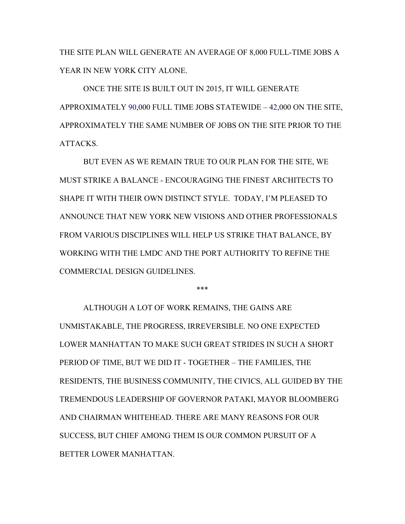THE SITE PLAN WILL GENERATE AN AVERAGE OF 8,000 FULL-TIME JOBS A YEAR IN NEW YORK CITY ALONE.

ONCE THE SITE IS BUILT OUT IN 2015, IT WILL GENERATE APPROXIMATELY 90,000 FULL TIME JOBS STATEWIDE – 42,000 ON THE SITE, APPROXIMATELY THE SAME NUMBER OF JOBS ON THE SITE PRIOR TO THE ATTACKS.

BUT EVEN AS WE REMAIN TRUE TO OUR PLAN FOR THE SITE, WE MUST STRIKE A BALANCE - ENCOURAGING THE FINEST ARCHITECTS TO SHAPE IT WITH THEIR OWN DISTINCT STYLE. TODAY, I'M PLEASED TO ANNOUNCE THAT NEW YORK NEW VISIONS AND OTHER PROFESSIONALS FROM VARIOUS DISCIPLINES WILL HELP US STRIKE THAT BALANCE, BY WORKING WITH THE LMDC AND THE PORT AUTHORITY TO REFINE THE COMMERCIAL DESIGN GUIDELINES.

\*\*\*

ALTHOUGH A LOT OF WORK REMAINS, THE GAINS ARE UNMISTAKABLE, THE PROGRESS, IRREVERSIBLE. NO ONE EXPECTED LOWER MANHATTAN TO MAKE SUCH GREAT STRIDES IN SUCH A SHORT PERIOD OF TIME, BUT WE DID IT - TOGETHER – THE FAMILIES, THE RESIDENTS, THE BUSINESS COMMUNITY, THE CIVICS, ALL GUIDED BY THE TREMENDOUS LEADERSHIP OF GOVERNOR PATAKI, MAYOR BLOOMBERG AND CHAIRMAN WHITEHEAD. THERE ARE MANY REASONS FOR OUR SUCCESS, BUT CHIEF AMONG THEM IS OUR COMMON PURSUIT OF A BETTER LOWER MANHATTAN.